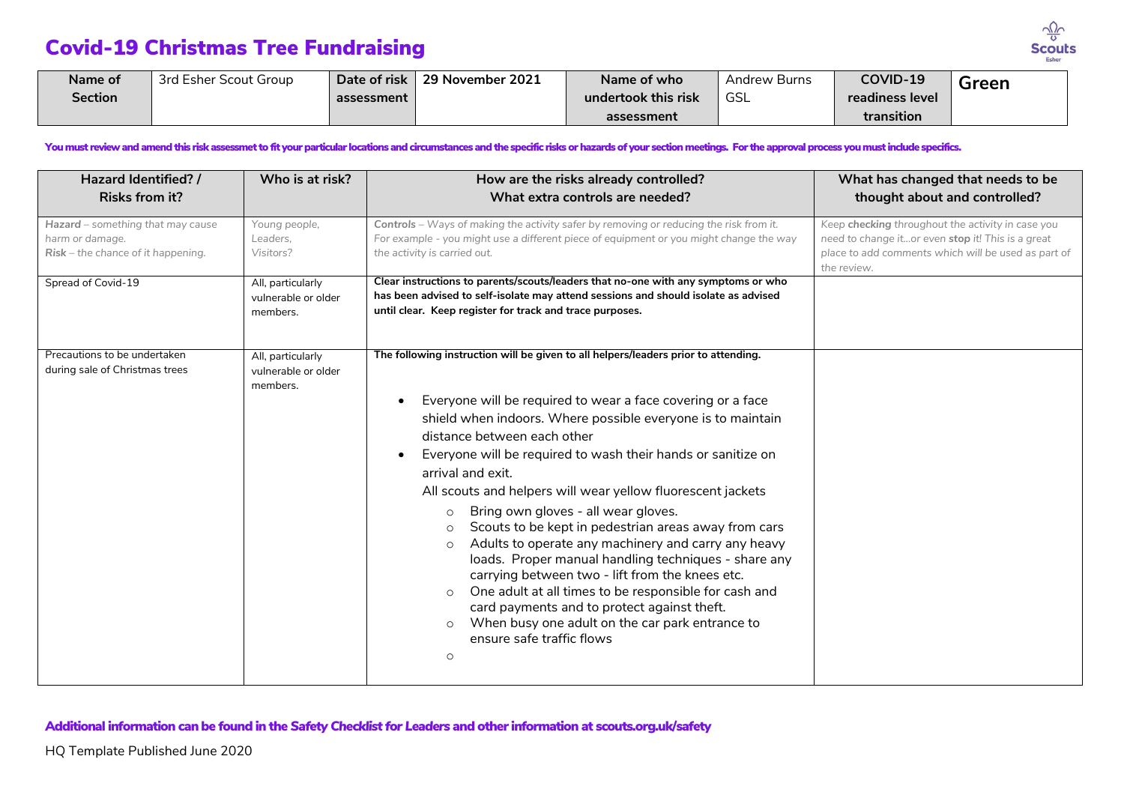## Covid-19 Christmas Tree Fundraising



| Name of              | 3rd Esher Scout Group | Date of risk | 29 November 2021 | Name of who         | Andrew Burns | COVID-19        | Green |
|----------------------|-----------------------|--------------|------------------|---------------------|--------------|-----------------|-------|
| $\mathsf{Section}{}$ |                       | assessment   |                  | undertook this risk | GSL          | readiness level |       |
|                      |                       |              |                  | assessment          |              | transition      |       |

You must review and amend this risk assessmet to fit your particular locations and circumstances and the specific risks or hazards of your section meetings. For the approval process you must include specifics.

| Hazard Identified? /                                                                       | Who is at risk?                                      | How are the risks already controlled?                                                                                                                                                                                                                                                                                                                                                                                                                                                                                                                                                                                                                                                                                                                                                                                                                                                                                           | What has changed that needs to be                                                                                                                                            |
|--------------------------------------------------------------------------------------------|------------------------------------------------------|---------------------------------------------------------------------------------------------------------------------------------------------------------------------------------------------------------------------------------------------------------------------------------------------------------------------------------------------------------------------------------------------------------------------------------------------------------------------------------------------------------------------------------------------------------------------------------------------------------------------------------------------------------------------------------------------------------------------------------------------------------------------------------------------------------------------------------------------------------------------------------------------------------------------------------|------------------------------------------------------------------------------------------------------------------------------------------------------------------------------|
| <b>Risks from it?</b>                                                                      |                                                      | What extra controls are needed?                                                                                                                                                                                                                                                                                                                                                                                                                                                                                                                                                                                                                                                                                                                                                                                                                                                                                                 | thought about and controlled?                                                                                                                                                |
| Hazard - something that may cause<br>harm or damage.<br>Risk - the chance of it happening. | Young people,<br>Leaders,<br>Visitors?               | Controls - Ways of making the activity safer by removing or reducing the risk from it.<br>For example - you might use a different piece of equipment or you might change the way<br>the activity is carried out.                                                                                                                                                                                                                                                                                                                                                                                                                                                                                                                                                                                                                                                                                                                | Keep checking throughout the activity in case you<br>need to change itor even stop it! This is a great<br>place to add comments which will be used as part of<br>the review. |
| Spread of Covid-19                                                                         | All, particularly<br>vulnerable or older<br>members. | Clear instructions to parents/scouts/leaders that no-one with any symptoms or who<br>has been advised to self-isolate may attend sessions and should isolate as advised<br>until clear. Keep register for track and trace purposes.                                                                                                                                                                                                                                                                                                                                                                                                                                                                                                                                                                                                                                                                                             |                                                                                                                                                                              |
| Precautions to be undertaken<br>during sale of Christmas trees                             | All, particularly<br>vulnerable or older<br>members. | The following instruction will be given to all helpers/leaders prior to attending.<br>Everyone will be required to wear a face covering or a face<br>shield when indoors. Where possible everyone is to maintain<br>distance between each other<br>Everyone will be required to wash their hands or sanitize on<br>arrival and exit.<br>All scouts and helpers will wear yellow fluorescent jackets<br>Bring own gloves - all wear gloves.<br>$\circ$<br>Scouts to be kept in pedestrian areas away from cars<br>$\circ$<br>Adults to operate any machinery and carry any heavy<br>$\circ$<br>loads. Proper manual handling techniques - share any<br>carrying between two - lift from the knees etc.<br>One adult at all times to be responsible for cash and<br>$\circ$<br>card payments and to protect against theft.<br>When busy one adult on the car park entrance to<br>$\circ$<br>ensure safe traffic flows<br>$\Omega$ |                                                                                                                                                                              |

Additional information can be found in the *Safety Checklist for Leaders* and other information at scouts.org.uk/safety

HQ Template Published June 2020